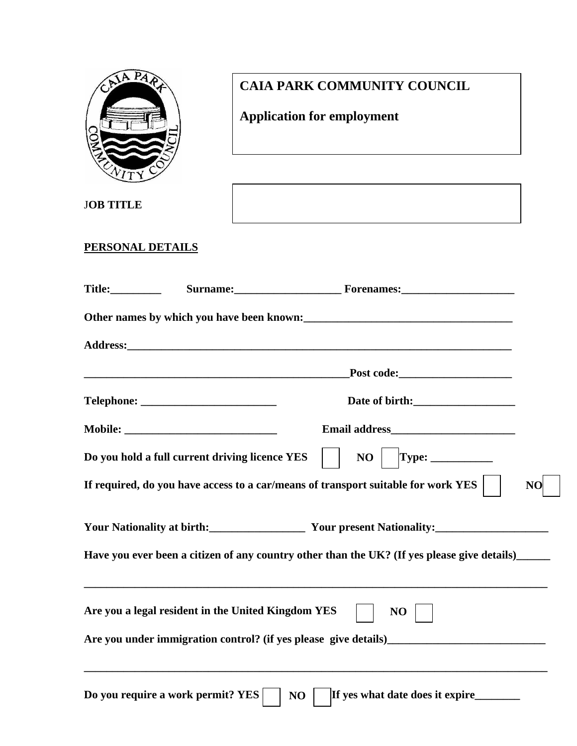

J**OB TITLE** 

## **CAIA PARK COMMUNITY COUNCIL**

# **Application for employment**

**PERSONAL DETAILS**

| <b>Title:__________</b> |                                                    | Surname: Forenames: Forenames:                                                                   |                |
|-------------------------|----------------------------------------------------|--------------------------------------------------------------------------------------------------|----------------|
|                         |                                                    |                                                                                                  |                |
|                         |                                                    |                                                                                                  |                |
|                         |                                                    | Post code: <u>_______________________</u>                                                        |                |
|                         |                                                    |                                                                                                  |                |
|                         |                                                    |                                                                                                  |                |
|                         | Do you hold a full current driving licence YES     |                                                                                                  |                |
|                         |                                                    | If required, do you have access to a car/means of transport suitable for work YES                | N <sub>O</sub> |
|                         |                                                    | Your Nationality at birth:<br>Your present Nationality:<br>Your present Nationality:             |                |
|                         |                                                    | Have you ever been a citizen of any country other than the UK? (If yes please give details)_____ |                |
|                         | Are you a legal resident in the United Kingdom YES | NO                                                                                               |                |
|                         |                                                    |                                                                                                  |                |
|                         | Do you require a work permit? YES                  | If yes what date does it expire<br>NO                                                            |                |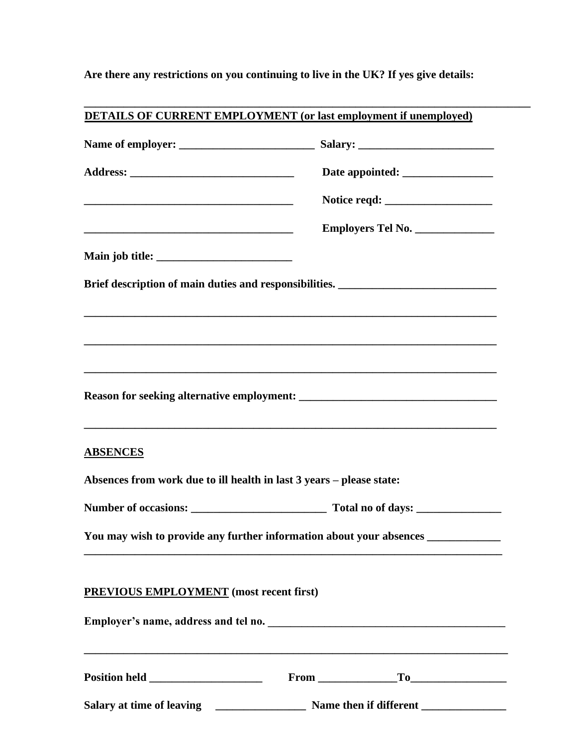**Are there any restrictions on you continuing to live in the UK? If yes give details:** 

|                                                                                         | Employers Tel No.                                                                                                                                                    |
|-----------------------------------------------------------------------------------------|----------------------------------------------------------------------------------------------------------------------------------------------------------------------|
|                                                                                         |                                                                                                                                                                      |
|                                                                                         | Brief description of main duties and responsibilities. _________________________                                                                                     |
|                                                                                         |                                                                                                                                                                      |
|                                                                                         | ,我们也不能在这里的人,我们也不能在这里的人,我们也不能在这里的人,我们也不能在这里的人,我们也不能在这里的人,我们也不能在这里的人,我们也不能在这里的人,我们也                                                                                    |
|                                                                                         | ,我们的人们就会在这里的人们,我们的人们就会在这里,我们的人们就会在这里,我们的人们就会在这里,我们的人们就会在这里,我们的人们就会在这里,我们的人们就会在这里                                                                                     |
|                                                                                         |                                                                                                                                                                      |
|                                                                                         |                                                                                                                                                                      |
|                                                                                         |                                                                                                                                                                      |
|                                                                                         |                                                                                                                                                                      |
|                                                                                         |                                                                                                                                                                      |
| <b>ABSENCES</b><br>Absences from work due to ill health in last 3 years - please state: |                                                                                                                                                                      |
|                                                                                         |                                                                                                                                                                      |
|                                                                                         |                                                                                                                                                                      |
|                                                                                         | You may wish to provide any further information about your absences ____________<br>,我们也不能在这里的时候,我们也不能在这里的时候,我们也不能会在这里的时候,我们也不能会在这里的时候,我们也不能会在这里的时候,我们也不能会在这里的时候,我们也 |
|                                                                                         |                                                                                                                                                                      |
|                                                                                         |                                                                                                                                                                      |
| <b>PREVIOUS EMPLOYMENT</b> (most recent first)                                          | ,我们也不能在这里的时候,我们也不能在这里的时候,我们也不能会在这里的时候,我们也不能会在这里的时候,我们也不能会在这里的时候,我们也不能会在这里的时候,我们也不                                                                                    |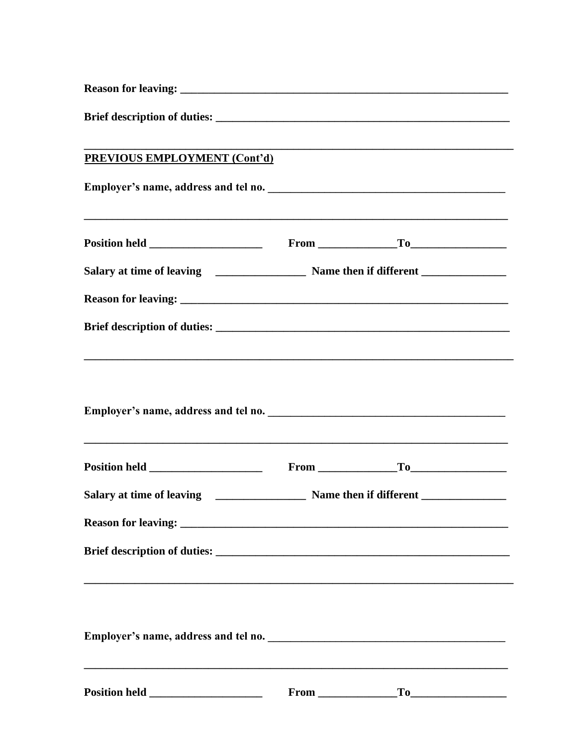| <b>PREVIOUS EMPLOYMENT (Cont'd)</b>                                               |  |  |
|-----------------------------------------------------------------------------------|--|--|
|                                                                                   |  |  |
|                                                                                   |  |  |
|                                                                                   |  |  |
|                                                                                   |  |  |
|                                                                                   |  |  |
|                                                                                   |  |  |
|                                                                                   |  |  |
|                                                                                   |  |  |
|                                                                                   |  |  |
| ,我们也不能在这里的时候,我们也不能在这里的时候,我们也不能会在这里的时候,我们也不能会在这里的时候,我们也不能会在这里的时候,我们也不能会在这里的时候,我们也不 |  |  |
|                                                                                   |  |  |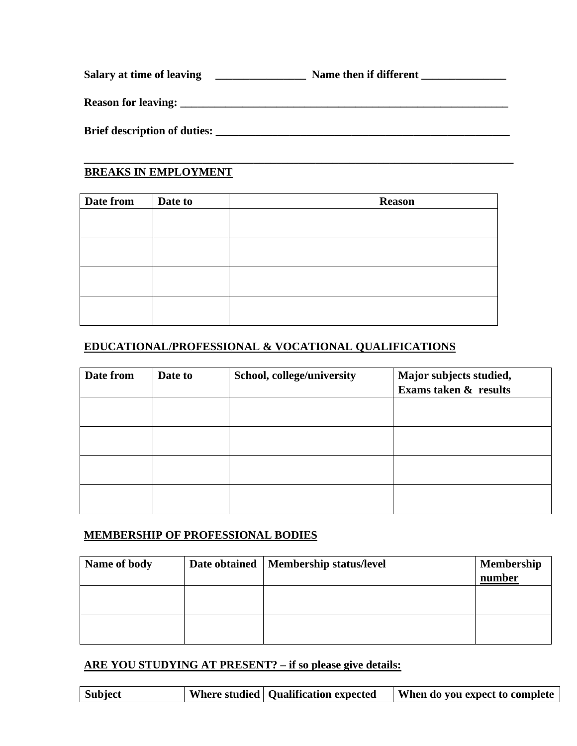| Salary at time of leaving           | Name then if different |
|-------------------------------------|------------------------|
| <b>Reason for leaving:</b>          |                        |
| <b>Brief description of duties:</b> |                        |

**\_\_\_\_\_\_\_\_\_\_\_\_\_\_\_\_\_\_\_\_\_\_\_\_\_\_\_\_\_\_\_\_\_\_\_\_\_\_\_\_\_\_\_\_\_\_\_\_\_\_\_\_\_\_\_\_\_\_\_\_\_\_\_\_\_\_\_\_\_\_\_\_\_\_\_\_** 

#### **BREAKS IN EMPLOYMENT**

| Date from | Date to | <b>Reason</b> |
|-----------|---------|---------------|
|           |         |               |
|           |         |               |
|           |         |               |
|           |         |               |
|           |         |               |
|           |         |               |
|           |         |               |
|           |         |               |

#### **EDUCATIONAL/PROFESSIONAL & VOCATIONAL QUALIFICATIONS**

| Date from | Date to | School, college/university | Major subjects studied,<br>Exams taken & results |
|-----------|---------|----------------------------|--------------------------------------------------|
|           |         |                            |                                                  |
|           |         |                            |                                                  |
|           |         |                            |                                                  |
|           |         |                            |                                                  |

#### **MEMBERSHIP OF PROFESSIONAL BODIES**

| Name of body | Date obtained   Membership status/level | <b>Membership</b><br>number |
|--------------|-----------------------------------------|-----------------------------|
|              |                                         |                             |
|              |                                         |                             |

### **ARE YOU STUDYING AT PRESENT? – if so please give details:**

| Subject |  | Where studied   Qualification expected | When do you expect to complete |
|---------|--|----------------------------------------|--------------------------------|
|---------|--|----------------------------------------|--------------------------------|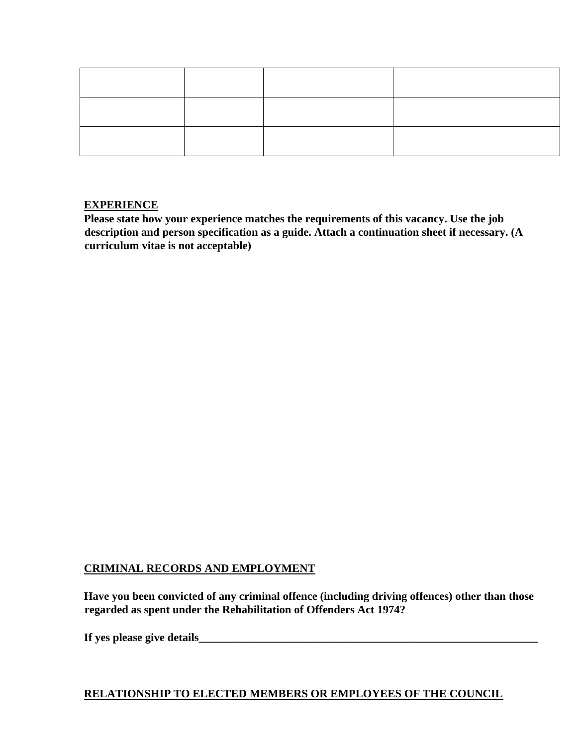#### **EXPERIENCE**

**Please state how your experience matches the requirements of this vacancy. Use the job description and person specification as a guide. Attach a continuation sheet if necessary. (A curriculum vitae is not acceptable)** 

#### **CRIMINAL RECORDS AND EMPLOYMENT**

**Have you been convicted of any criminal offence (including driving offences) other than those regarded as spent under the Rehabilitation of Offenders Act 1974?** 

**If yes please give details\_\_\_\_\_\_\_\_\_\_\_\_\_\_\_\_\_\_\_\_\_\_\_\_\_\_\_\_\_\_\_\_\_\_\_\_\_\_\_\_\_\_\_\_\_\_\_\_\_\_\_\_\_\_\_\_\_\_\_\_** 

#### **RELATIONSHIP TO ELECTED MEMBERS OR EMPLOYEES OF THE COUNCIL**